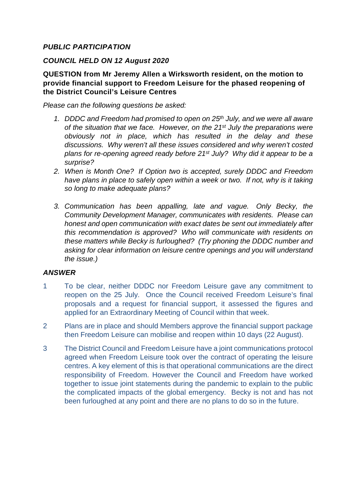# *PUBLIC PARTICIPATION*

#### *COUNCIL HELD ON 12 August 2020*

**QUESTION from Mr Jeremy Allen a Wirksworth resident, on the motion to provide financial support to Freedom Leisure for the phased reopening of the District Council's Leisure Centres**

*Please can the following questions be asked:*

- *1. DDDC and Freedom had promised to open on 25th July, and we were all aware of the situation that we face. However, on the 21st July the preparations were obviously not in place, which has resulted in the delay and these discussions. Why weren't all these issues considered and why weren't costed plans for re-opening agreed ready before 21st July? Why did it appear to be a surprise?*
- *2. When is Month One? If Option two is accepted, surely DDDC and Freedom have plans in place to safely open within a week or two. If not, why is it taking so long to make adequate plans?*
- *3. Communication has been appalling, late and vague. Only Becky, the Community Development Manager, communicates with residents. Please can honest and open communication with exact dates be sent out immediately after this recommendation is approved? Who will communicate with residents on these matters while Becky is furloughed? (Try phoning the DDDC number and asking for clear information on leisure centre openings and you will understand the issue.)*

## *ANSWER*

- 1 To be clear, neither DDDC nor Freedom Leisure gave any commitment to reopen on the 25 July. Once the Council received Freedom Leisure's final proposals and a request for financial support, it assessed the figures and applied for an Extraordinary Meeting of Council within that week.
- 2 Plans are in place and should Members approve the financial support package then Freedom Leisure can mobilise and reopen within 10 days (22 August).
- 3 The District Council and Freedom Leisure have a joint communications protocol agreed when Freedom Leisure took over the contract of operating the leisure centres. A key element of this is that operational communications are the direct responsibility of Freedom. However the Council and Freedom have worked together to issue joint statements during the pandemic to explain to the public the complicated impacts of the global emergency. Becky is not and has not been furloughed at any point and there are no plans to do so in the future.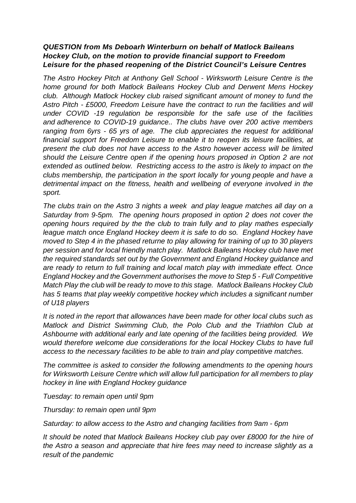#### *QUESTION from Ms Deboarh Winterburn on behalf of Matlock Baileans Hockey Club, on the motion to provide financial support to Freedom Leisure for the phased reopening of the District Council's Leisure Centres*

*The Astro Hockey Pitch at Anthony Gell School - Wirksworth Leisure Centre is the home ground for both Matlock Baileans Hockey Club and Derwent Mens Hockey club. Although Matlock Hockey club raised significant amount of money to fund the Astro Pitch - £5000, Freedom Leisure have the contract to run the facilities and will under COVID -19 regulation be responsible for the safe use of the facilities and adherence to COVID-19 guidance.. The clubs have over 200 active members ranging from 6yrs - 65 yrs of age. The club appreciates the request for additional financial support for Freedom Leisure to enable it to reopen its leisure facilities, at present the club does not have access to the Astro however access will be limited should the Leisure Centre open if the opening hours proposed in Option 2 are not extended as outlined below. Restricting access to the astro is likely to impact on the clubs membership, the participation in the sport locally for young people and have a detrimental impact on the fitness, health and wellbeing of everyone involved in the sport.* 

*The clubs train on the Astro 3 nights a week and play league matches all day on a Saturday from 9-5pm. The opening hours proposed in option 2 does not cover the opening hours required by the the club to train fully and to play mathes especially league match once England Hockey deem it is safe to do so. England Hockey have moved to Step 4 in the phased returne to play allowing for training of up to 30 players per session and for local friendly match play. Matlock Baileans Hockey club have met the required standards set out by the Government and England Hockey guidance and are ready to return to full training and local match play with immediate effect. Once England Hockey and the Government authorises the move to Step 5 - Full Competitive Match Play the club will be ready to move to this stage. Matlock Baileans Hockey Club has 5 teams that play weekly competitive hockey which includes a significant number of U18 players* 

*It is noted in the report that allowances have been made for other local clubs such as Matlock and District Swimming Club, the Polo Club and the Triathlon Club at Ashbourne with additional early and late opening of the facilities being provided. We would therefore welcome due considerations for the local Hockey Clubs to have full access to the necessary facilities to be able to train and play competitive matches.*

*The committee is asked to consider the following amendments to the opening hours for Wirksworth Leisure Centre which will allow full participation for all members to play hockey in line with England Hockey guidance*

*Tuesday: to remain open until 9pm*

*Thursday: to remain open until 9pm*

*Saturday: to allow access to the Astro and changing facilities from 9am - 6pm*

*It should be noted that Matlock Baileans Hockey club pay over £8000 for the hire of the Astro a season and appreciate that hire fees may need to increase slightly as a result of the pandemic*